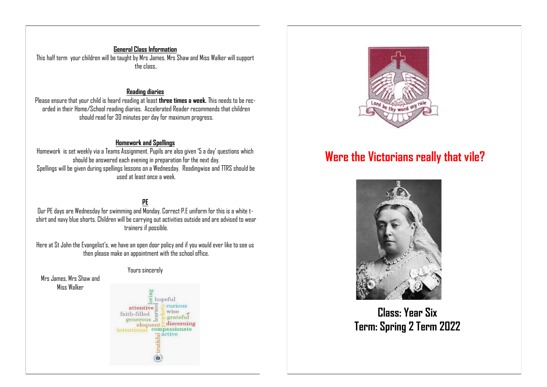**General Class Information** This half term your children will be taught by Mrs James. Mrs Shaw and Miss Walker will support the class..

#### **Reading diaries**

Please ensure that your child is heard reading at least **three times a week.** This needs to be recorded in their Home/School reading diaries. Accelerated Reader recommends that children should read for 30 minutes per day for maximum progress.

### **Homework and Spellings**

Homework is set weekly via a Teams Assignment. Pupils are also given '5 a day' questions which should be answered each evening in preparation for the next day. Spellings will be given during spellings lessons on a Wednesday. Readingwise and TTRS should be used at least once a week.

# **PE**

Our PE days are Wednesday for swimming and  $\overline{M}$ onday. Correct P.E uniform for this is a white tshirt and navy blue shorts. Children will be carrying out activities outside and are advised to wear trainers if possible.

Here at St John the Evangelist's, we have an open door policy and if you would ever like to see us then please make an appointment with the school office.

#### Yours sincerely

Mrs James, Mrs Shaw and Miss Walker





# **Were the Victorians really that vile?**



**Class: Year Six Term: Spring 2 Term 2022**